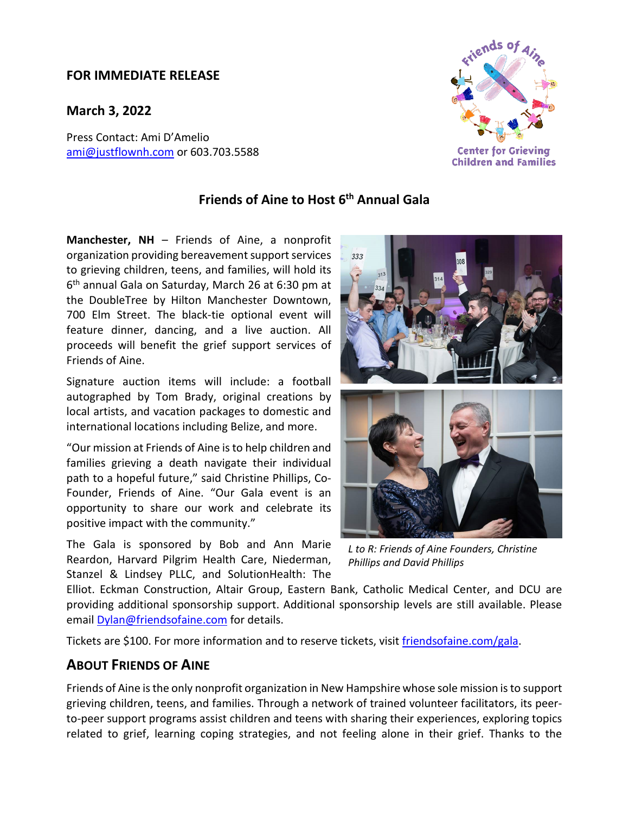## **FOR IMMEDIATE RELEASE**

**March 3, 2022**

Press Contact: Ami D'Amelio [ami@justflownh.com](mailto:ami@justflownh.com)</u> or 603.703.5588



## **Friends of Aine to Host 6th Annual Gala**

**Manchester, NH** – Friends of Aine, a nonprofit organization providing bereavement support services to grieving children, teens, and families, will hold its 6th annual Gala on Saturday, March 26 at 6:30 pm at the DoubleTree by Hilton Manchester Downtown, 700 Elm Street. The black-tie optional event will feature dinner, dancing, and a live auction. All proceeds will benefit the grief support services of Friends of Aine.

Signature auction items will include: a football autographed by Tom Brady, original creations by local artists, and vacation packages to domestic and international locations including Belize, and more.

"Our mission at Friends of Aine is to help children and families grieving a death navigate their individual path to a hopeful future," said Christine Phillips, Co-Founder, Friends of Aine. "Our Gala event is an opportunity to share our work and celebrate its positive impact with the community."

The Gala is sponsored by Bob and Ann Marie Reardon, Harvard Pilgrim Health Care, Niederman, Stanzel & Lindsey PLLC, and SolutionHealth: The



*L to R: Friends of Aine Founders, Christine Phillips and David Phillips*

Elliot. Eckman Construction, Altair Group, Eastern Bank, Catholic Medical Center, and DCU are providing additional sponsorship support. Additional sponsorship levels are still available. Please email [Dylan@friendsofaine.com](mailto:Dylan@friendsofaine.com) for details.

Tickets are \$100. For more information and to reserve tickets, visit *friendsofaine.com/gala.* 

## **ABOUT FRIENDS OF AINE**

Friends of Aine is the only nonprofit organization in New Hampshire whose sole mission is to support grieving children, teens, and families. Through a network of trained volunteer facilitators, its peerto-peer support programs assist children and teens with sharing their experiences, exploring topics related to grief, learning coping strategies, and not feeling alone in their grief. Thanks to the